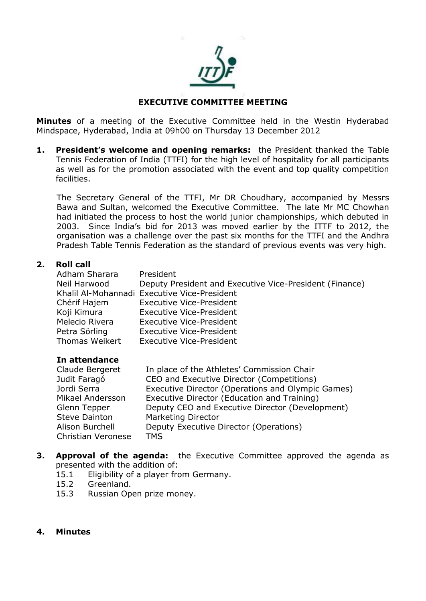

# **EXECUTIVE COMMITTEE MEETING**

**Minutes** of a meeting of the Executive Committee held in the Westin Hyderabad Mindspace, Hyderabad, India at 09h00 on Thursday 13 December 2012

**1. President's welcome and opening remarks:** the President thanked the Table Tennis Federation of India (TTFI) for the high level of hospitality for all participants as well as for the promotion associated with the event and top quality competition facilities.

The Secretary General of the TTFI, Mr DR Choudhary, accompanied by Messrs Bawa and Sultan, welcomed the Executive Committee. The late Mr MC Chowhan had initiated the process to host the world junior championships, which debuted in 2003. Since India's bid for 2013 was moved earlier by the ITTF to 2012, the organisation was a challenge over the past six months for the TTFI and the Andhra Pradesh Table Tennis Federation as the standard of previous events was very high.

#### **2. Roll call**

| Adham Sharara  | President                                               |
|----------------|---------------------------------------------------------|
| Neil Harwood   | Deputy President and Executive Vice-President (Finance) |
|                | Khalil Al-Mohannadi Executive Vice-President            |
| Chérif Hajem   | <b>Executive Vice-President</b>                         |
| Koji Kimura    | <b>Executive Vice-President</b>                         |
| Melecio Rivera | <b>Executive Vice-President</b>                         |
| Petra Sörling  | <b>Executive Vice-President</b>                         |
| Thomas Weikert | <b>Executive Vice-President</b>                         |

#### **In attendance**

| Claude Bergeret      | In place of the Athletes' Commission Chair        |  |
|----------------------|---------------------------------------------------|--|
| Judit Faragó         | CEO and Executive Director (Competitions)         |  |
| Jordi Serra          | Executive Director (Operations and Olympic Games) |  |
| Mikael Andersson     | Executive Director (Education and Training)       |  |
| Glenn Tepper         | Deputy CEO and Executive Director (Development)   |  |
| <b>Steve Dainton</b> | <b>Marketing Director</b>                         |  |
| Alison Burchell      | Deputy Executive Director (Operations)            |  |
| Christian Veronese   | <b>TMS</b>                                        |  |

- **3. Approval of the agenda:** the Executive Committee approved the agenda as presented with the addition of:
	- 15.1 Eligibility of a player from Germany.
	- 15.2 Greenland.
	- 15.3 Russian Open prize money.
- **4. Minutes**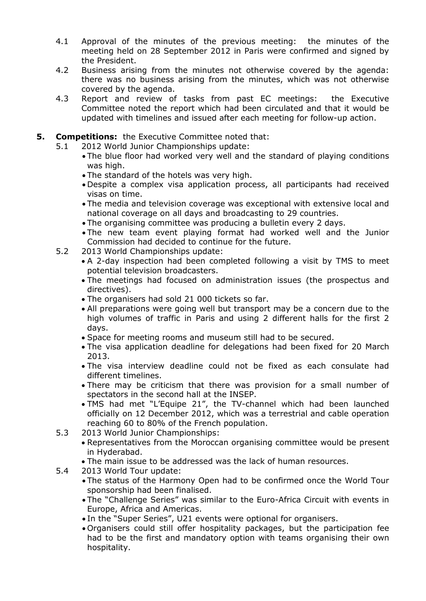- 4.1 Approval of the minutes of the previous meeting: the minutes of the meeting held on 28 September 2012 in Paris were confirmed and signed by the President.
- 4.2 Business arising from the minutes not otherwise covered by the agenda: there was no business arising from the minutes, which was not otherwise covered by the agenda.
- 4.3 Report and review of tasks from past EC meetings: the Executive Committee noted the report which had been circulated and that it would be updated with timelines and issued after each meeting for follow-up action.
- **5. Competitions:** the Executive Committee noted that:
	- 5.1 2012 World Junior Championships update:
		- The blue floor had worked very well and the standard of playing conditions was high.
		- The standard of the hotels was very high.
		- Despite a complex visa application process, all participants had received visas on time.
		- The media and television coverage was exceptional with extensive local and national coverage on all days and broadcasting to 29 countries.
		- The organising committee was producing a bulletin every 2 days.
		- The new team event playing format had worked well and the Junior Commission had decided to continue for the future.
	- 5.2 2013 World Championships update:
		- A 2-day inspection had been completed following a visit by TMS to meet potential television broadcasters.
		- The meetings had focused on administration issues (the prospectus and directives).
		- The organisers had sold 21 000 tickets so far.
		- All preparations were going well but transport may be a concern due to the high volumes of traffic in Paris and using 2 different halls for the first 2 days.
		- Space for meeting rooms and museum still had to be secured.
		- The visa application deadline for delegations had been fixed for 20 March 2013.
		- The visa interview deadline could not be fixed as each consulate had different timelines.
		- There may be criticism that there was provision for a small number of spectators in the second hall at the INSEP.
		- TMS had met "L'Equipe 21", the TV-channel which had been launched officially on 12 December 2012, which was a terrestrial and cable operation reaching 60 to 80% of the French population.
	- 5.3 2013 World Junior Championships:
		- Representatives from the Moroccan organising committee would be present in Hyderabad.
		- The main issue to be addressed was the lack of human resources.
	- 5.4 2013 World Tour update:
		- The status of the Harmony Open had to be confirmed once the World Tour sponsorship had been finalised.
		- The "Challenge Series" was similar to the Euro-Africa Circuit with events in Europe, Africa and Americas.
		- In the "Super Series", U21 events were optional for organisers.
		- Organisers could still offer hospitality packages, but the participation fee had to be the first and mandatory option with teams organising their own hospitality.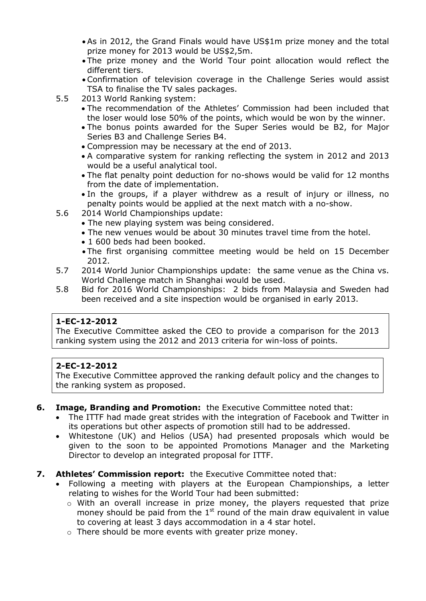- As in 2012, the Grand Finals would have US\$1m prize money and the total prize money for 2013 would be US\$2,5m.
- The prize money and the World Tour point allocation would reflect the different tiers.
- Confirmation of television coverage in the Challenge Series would assist TSA to finalise the TV sales packages.
- 5.5 2013 World Ranking system:
	- The recommendation of the Athletes' Commission had been included that the loser would lose 50% of the points, which would be won by the winner.
	- The bonus points awarded for the Super Series would be B2, for Major Series B3 and Challenge Series B4.
	- Compression may be necessary at the end of 2013.
	- A comparative system for ranking reflecting the system in 2012 and 2013 would be a useful analytical tool.
	- The flat penalty point deduction for no-shows would be valid for 12 months from the date of implementation.
	- In the groups, if a player withdrew as a result of injury or illness, no penalty points would be applied at the next match with a no-show.
- 5.6 2014 World Championships update:
	- The new playing system was being considered.
	- The new venues would be about 30 minutes travel time from the hotel.
	- 1 600 beds had been booked.
	- The first organising committee meeting would be held on 15 December 2012.
- 5.7 2014 World Junior Championships update: the same venue as the China vs. World Challenge match in Shanghai would be used.
- 5.8 Bid for 2016 World Championships: 2 bids from Malaysia and Sweden had been received and a site inspection would be organised in early 2013.

The Executive Committee asked the CEO to provide a comparison for the 2013 ranking system using the 2012 and 2013 criteria for win-loss of points.

# **2-EC-12-2012**

The Executive Committee approved the ranking default policy and the changes to the ranking system as proposed.

- **6. Image, Branding and Promotion:** the Executive Committee noted that:
	- The ITTF had made great strides with the integration of Facebook and Twitter in its operations but other aspects of promotion still had to be addressed.
	- Whitestone (UK) and Helios (USA) had presented proposals which would be given to the soon to be appointed Promotions Manager and the Marketing Director to develop an integrated proposal for ITTF.
- **7. Athletes' Commission report:** the Executive Committee noted that:
	- Following a meeting with players at the European Championships, a letter relating to wishes for the World Tour had been submitted:
		- o With an overall increase in prize money, the players requested that prize money should be paid from the  $1<sup>st</sup>$  round of the main draw equivalent in value to covering at least 3 days accommodation in a 4 star hotel.
		- o There should be more events with greater prize money.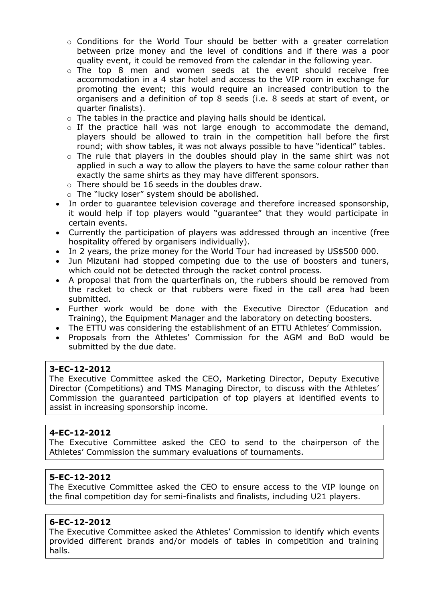- $\circ$  Conditions for the World Tour should be better with a greater correlation between prize money and the level of conditions and if there was a poor quality event, it could be removed from the calendar in the following year.
- $\circ$  The top 8 men and women seeds at the event should receive free accommodation in a 4 star hotel and access to the VIP room in exchange for promoting the event; this would require an increased contribution to the organisers and a definition of top 8 seeds (i.e. 8 seeds at start of event, or quarter finalists).
- o The tables in the practice and playing halls should be identical.
- o If the practice hall was not large enough to accommodate the demand, players should be allowed to train in the competition hall before the first round; with show tables, it was not always possible to have "identical" tables.
- $\circ$  The rule that players in the doubles should play in the same shirt was not applied in such a way to allow the players to have the same colour rather than exactly the same shirts as they may have different sponsors.
- o There should be 16 seeds in the doubles draw.
- o The "lucky loser" system should be abolished.
- In order to guarantee television coverage and therefore increased sponsorship, it would help if top players would "guarantee" that they would participate in certain events.
- Currently the participation of players was addressed through an incentive (free hospitality offered by organisers individually).
- In 2 years, the prize money for the World Tour had increased by US\$500 000.
- Jun Mizutani had stopped competing due to the use of boosters and tuners, which could not be detected through the racket control process.
- A proposal that from the quarterfinals on, the rubbers should be removed from the racket to check or that rubbers were fixed in the call area had been submitted.
- Further work would be done with the Executive Director (Education and Training), the Equipment Manager and the laboratory on detecting boosters.
- The ETTU was considering the establishment of an ETTU Athletes' Commission.
- Proposals from the Athletes' Commission for the AGM and BoD would be submitted by the due date.

The Executive Committee asked the CEO, Marketing Director, Deputy Executive Director (Competitions) and TMS Managing Director, to discuss with the Athletes' Commission the guaranteed participation of top players at identified events to assist in increasing sponsorship income.

# **4-EC-12-2012**

The Executive Committee asked the CEO to send to the chairperson of the Athletes' Commission the summary evaluations of tournaments.

# **5-EC-12-2012**

The Executive Committee asked the CEO to ensure access to the VIP lounge on the final competition day for semi-finalists and finalists, including U21 players.

#### **6-EC-12-2012**

The Executive Committee asked the Athletes' Commission to identify which events provided different brands and/or models of tables in competition and training halls.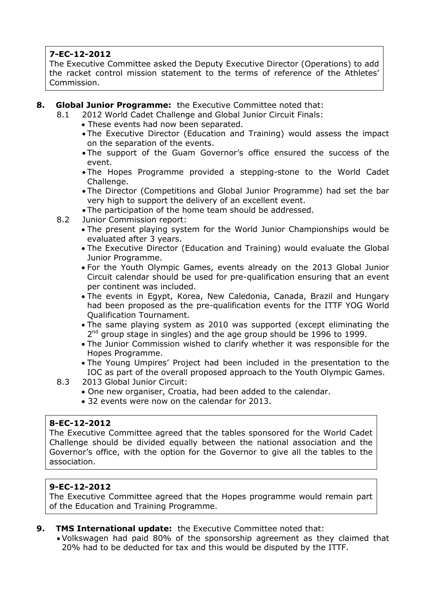The Executive Committee asked the Deputy Executive Director (Operations) to add the racket control mission statement to the terms of reference of the Athletes' Commission.

- **8. Global Junior Programme:** the Executive Committee noted that:
	- 8.1 2012 World Cadet Challenge and Global Junior Circuit Finals:
		- These events had now been separated.
		- The Executive Director (Education and Training) would assess the impact on the separation of the events.
		- The support of the Guam Governor's office ensured the success of the event.
		- The Hopes Programme provided a stepping-stone to the World Cadet Challenge.
		- The Director (Competitions and Global Junior Programme) had set the bar very high to support the delivery of an excellent event.
		- The participation of the home team should be addressed.
	- 8.2 Junior Commission report:
		- The present playing system for the World Junior Championships would be evaluated after 3 years.
		- The Executive Director (Education and Training) would evaluate the Global Junior Programme.
		- For the Youth Olympic Games, events already on the 2013 Global Junior Circuit calendar should be used for pre-qualification ensuring that an event per continent was included.
		- The events in Egypt, Korea, New Caledonia, Canada, Brazil and Hungary had been proposed as the pre-qualification events for the ITTF YOG World Qualification Tournament.
		- The same playing system as 2010 was supported (except eliminating the 2<sup>nd</sup> group stage in singles) and the age group should be 1996 to 1999.
		- The Junior Commission wished to clarify whether it was responsible for the Hopes Programme.
		- The Young Umpires' Project had been included in the presentation to the IOC as part of the overall proposed approach to the Youth Olympic Games.
	- 8.3 2013 Global Junior Circuit:
		- One new organiser, Croatia, had been added to the calendar.
		- 32 events were now on the calendar for 2013.

# **8-EC-12-2012**

The Executive Committee agreed that the tables sponsored for the World Cadet Challenge should be divided equally between the national association and the Governor's office, with the option for the Governor to give all the tables to the association.

# **9-EC-12-2012**

The Executive Committee agreed that the Hopes programme would remain part of the Education and Training Programme.

- **9. TMS International update:** the Executive Committee noted that:
	- Volkswagen had paid 80% of the sponsorship agreement as they claimed that 20% had to be deducted for tax and this would be disputed by the ITTF.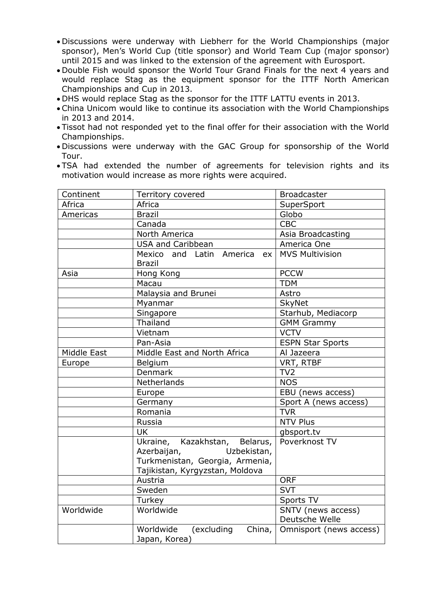- Discussions were underway with Liebherr for the World Championships (major sponsor), Men's World Cup (title sponsor) and World Team Cup (major sponsor) until 2015 and was linked to the extension of the agreement with Eurosport.
- Double Fish would sponsor the World Tour Grand Finals for the next 4 years and would replace Stag as the equipment sponsor for the ITTF North American Championships and Cup in 2013.
- DHS would replace Stag as the sponsor for the ITTF LATTU events in 2013.
- China Unicom would like to continue its association with the World Championships in 2013 and 2014.
- Tissot had not responded yet to the final offer for their association with the World Championships.
- Discussions were underway with the GAC Group for sponsorship of the World Tour.
- TSA had extended the number of agreements for television rights and its motivation would increase as more rights were acquired.

| Territory covered               | <b>Broadcaster</b>                                                                                                                                                                                                                                                                                                                                                                              |
|---------------------------------|-------------------------------------------------------------------------------------------------------------------------------------------------------------------------------------------------------------------------------------------------------------------------------------------------------------------------------------------------------------------------------------------------|
| Africa                          | SuperSport                                                                                                                                                                                                                                                                                                                                                                                      |
| <b>Brazil</b>                   | Globo                                                                                                                                                                                                                                                                                                                                                                                           |
| Canada                          | <b>CBC</b>                                                                                                                                                                                                                                                                                                                                                                                      |
| North America                   | Asia Broadcasting                                                                                                                                                                                                                                                                                                                                                                               |
| <b>USA and Caribbean</b>        | America One                                                                                                                                                                                                                                                                                                                                                                                     |
| Mexico and Latin America<br>ex  | <b>MVS Multivision</b>                                                                                                                                                                                                                                                                                                                                                                          |
|                                 |                                                                                                                                                                                                                                                                                                                                                                                                 |
|                                 | <b>PCCW</b>                                                                                                                                                                                                                                                                                                                                                                                     |
|                                 | <b>TDM</b>                                                                                                                                                                                                                                                                                                                                                                                      |
|                                 | Astro                                                                                                                                                                                                                                                                                                                                                                                           |
|                                 | <b>SkyNet</b>                                                                                                                                                                                                                                                                                                                                                                                   |
|                                 | Starhub, Mediacorp                                                                                                                                                                                                                                                                                                                                                                              |
|                                 | <b>GMM Grammy</b>                                                                                                                                                                                                                                                                                                                                                                               |
|                                 | <b>VCTV</b>                                                                                                                                                                                                                                                                                                                                                                                     |
|                                 | <b>ESPN Star Sports</b>                                                                                                                                                                                                                                                                                                                                                                         |
|                                 | Al Jazeera                                                                                                                                                                                                                                                                                                                                                                                      |
|                                 | VRT, RTBF                                                                                                                                                                                                                                                                                                                                                                                       |
|                                 | TV <sub>2</sub>                                                                                                                                                                                                                                                                                                                                                                                 |
|                                 | <b>NOS</b>                                                                                                                                                                                                                                                                                                                                                                                      |
|                                 | EBU (news access)                                                                                                                                                                                                                                                                                                                                                                               |
|                                 | Sport A (news access)                                                                                                                                                                                                                                                                                                                                                                           |
|                                 | <b>TVR</b>                                                                                                                                                                                                                                                                                                                                                                                      |
|                                 | <b>NTV Plus</b>                                                                                                                                                                                                                                                                                                                                                                                 |
|                                 | gbsport.tv                                                                                                                                                                                                                                                                                                                                                                                      |
|                                 | Poverknost TV                                                                                                                                                                                                                                                                                                                                                                                   |
|                                 |                                                                                                                                                                                                                                                                                                                                                                                                 |
| Tajikistan, Kyrgyzstan, Moldova |                                                                                                                                                                                                                                                                                                                                                                                                 |
| Austria                         | <b>ORF</b>                                                                                                                                                                                                                                                                                                                                                                                      |
| Sweden                          | <b>SVT</b>                                                                                                                                                                                                                                                                                                                                                                                      |
| Turkey                          | Sports TV                                                                                                                                                                                                                                                                                                                                                                                       |
| Worldwide                       | SNTV (news access)                                                                                                                                                                                                                                                                                                                                                                              |
|                                 | Deutsche Welle<br>Omnisport (news access)                                                                                                                                                                                                                                                                                                                                                       |
|                                 |                                                                                                                                                                                                                                                                                                                                                                                                 |
|                                 | <b>Brazil</b><br>Hong Kong<br>Macau<br>Malaysia and Brunei<br>Myanmar<br>Singapore<br>Thailand<br>Vietnam<br>Pan-Asia<br>Middle East and North Africa<br>Belgium<br><b>Denmark</b><br>Netherlands<br>Europe<br>Germany<br>Romania<br>Russia<br><b>UK</b><br>Ukraine, Kazakhstan, Belarus,<br>Uzbekistan,<br>Azerbaijan,<br>Turkmenistan, Georgia, Armenia,<br>Worldwide<br>(excluding<br>China, |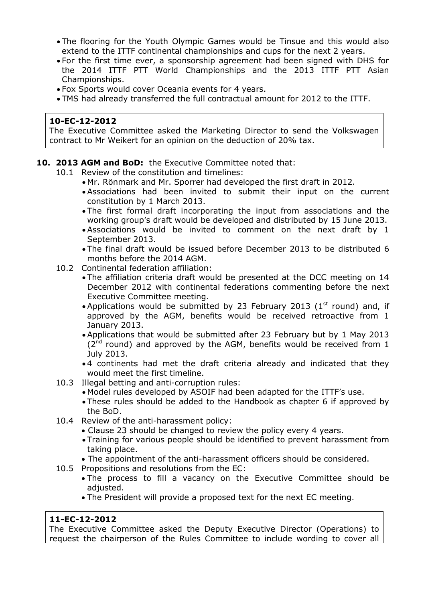- The flooring for the Youth Olympic Games would be Tinsue and this would also extend to the ITTF continental championships and cups for the next 2 years.
- For the first time ever, a sponsorship agreement had been signed with DHS for the 2014 ITTF PTT World Championships and the 2013 ITTF PTT Asian Championships.
- Fox Sports would cover Oceania events for 4 years.
- TMS had already transferred the full contractual amount for 2012 to the ITTF.

The Executive Committee asked the Marketing Director to send the Volkswagen contract to Mr Weikert for an opinion on the deduction of 20% tax.

# **10. 2013 AGM and BoD:** the Executive Committee noted that:

- 10.1 Review of the constitution and timelines:
	- Mr. Rönmark and Mr. Sporrer had developed the first draft in 2012.
	- Associations had been invited to submit their input on the current constitution by 1 March 2013.
	- The first formal draft incorporating the input from associations and the working group's draft would be developed and distributed by 15 June 2013.
	- Associations would be invited to comment on the next draft by 1 September 2013.
	- The final draft would be issued before December 2013 to be distributed 6 months before the 2014 AGM.
- 10.2 Continental federation affiliation:
	- The affiliation criteria draft would be presented at the DCC meeting on 14 December 2012 with continental federations commenting before the next Executive Committee meeting.
	- Applications would be submitted by 23 February 2013 (1<sup>st</sup> round) and, if approved by the AGM, benefits would be received retroactive from 1 January 2013.
	- Applications that would be submitted after 23 February but by 1 May 2013  $(2^{nd}$  round) and approved by the AGM, benefits would be received from 1 July 2013.
	- 4 continents had met the draft criteria already and indicated that they would meet the first timeline.
- 10.3 Illegal betting and anti-corruption rules:
	- Model rules developed by ASOIF had been adapted for the ITTF's use.
	- These rules should be added to the Handbook as chapter 6 if approved by the BoD.
- 10.4 Review of the anti-harassment policy:
	- Clause 23 should be changed to review the policy every 4 years.
	- Training for various people should be identified to prevent harassment from taking place.
	- The appointment of the anti-harassment officers should be considered.
- 10.5 Propositions and resolutions from the EC:
	- The process to fill a vacancy on the Executive Committee should be adjusted.
	- The President will provide a proposed text for the next EC meeting.

# **11-EC-12-2012**

The Executive Committee asked the Deputy Executive Director (Operations) to request the chairperson of the Rules Committee to include wording to cover all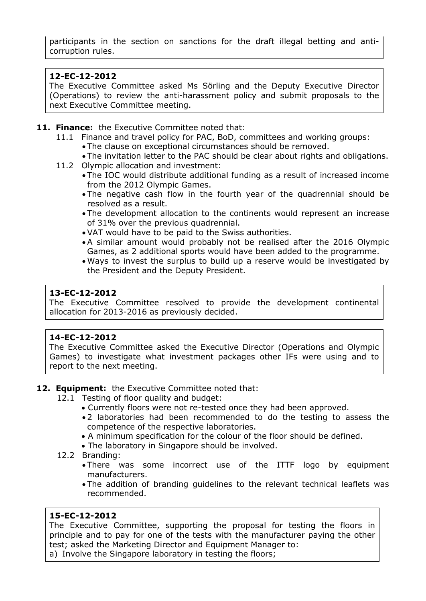participants in the section on sanctions for the draft illegal betting and anticorruption rules.

# **12-EC-12-2012**

The Executive Committee asked Ms Sörling and the Deputy Executive Director (Operations) to review the anti-harassment policy and submit proposals to the next Executive Committee meeting.

# **11. Finance:** the Executive Committee noted that:

- 11.1 Finance and travel policy for PAC, BoD, committees and working groups:
	- The clause on exceptional circumstances should be removed.
	- The invitation letter to the PAC should be clear about rights and obligations.
- 11.2 Olympic allocation and investment:
	- The IOC would distribute additional funding as a result of increased income from the 2012 Olympic Games.
	- The negative cash flow in the fourth year of the quadrennial should be resolved as a result.
	- The development allocation to the continents would represent an increase of 31% over the previous quadrennial.
	- VAT would have to be paid to the Swiss authorities.
	- A similar amount would probably not be realised after the 2016 Olympic Games, as 2 additional sports would have been added to the programme.
	- Ways to invest the surplus to build up a reserve would be investigated by the President and the Deputy President.

# **13-EC-12-2012**

The Executive Committee resolved to provide the development continental allocation for 2013-2016 as previously decided.

# **14-EC-12-2012**

The Executive Committee asked the Executive Director (Operations and Olympic Games) to investigate what investment packages other IFs were using and to report to the next meeting.

# **12. Equipment:** the Executive Committee noted that:

- 12.1 Testing of floor quality and budget:
	- Currently floors were not re-tested once they had been approved.
	- 2 laboratories had been recommended to do the testing to assess the competence of the respective laboratories.
	- A minimum specification for the colour of the floor should be defined.
	- The laboratory in Singapore should be involved.
- 12.2 Branding:
	- There was some incorrect use of the ITTF logo by equipment manufacturers.
	- The addition of branding guidelines to the relevant technical leaflets was recommended.

# **15-EC-12-2012**

The Executive Committee, supporting the proposal for testing the floors in principle and to pay for one of the tests with the manufacturer paying the other test; asked the Marketing Director and Equipment Manager to:

a) Involve the Singapore laboratory in testing the floors;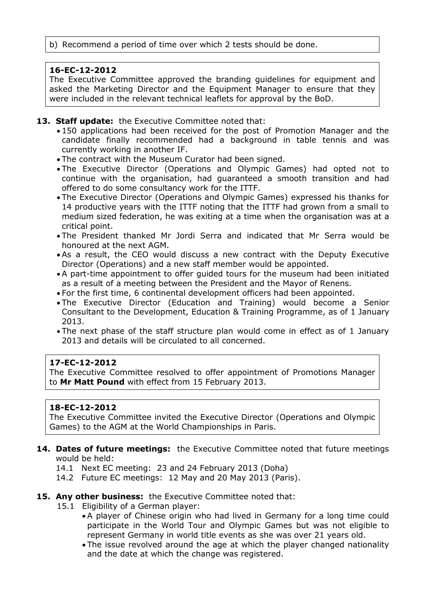# b) Recommend a period of time over which 2 tests should be done.

# **16-EC-12-2012**

The Executive Committee approved the branding guidelines for equipment and asked the Marketing Director and the Equipment Manager to ensure that they were included in the relevant technical leaflets for approval by the BoD.

# **13. Staff update:** the Executive Committee noted that:

- 150 applications had been received for the post of Promotion Manager and the candidate finally recommended had a background in table tennis and was currently working in another IF.
- The contract with the Museum Curator had been signed.
- The Executive Director (Operations and Olympic Games) had opted not to continue with the organisation, had guaranteed a smooth transition and had offered to do some consultancy work for the ITTF.
- The Executive Director (Operations and Olympic Games) expressed his thanks for 14 productive years with the ITTF noting that the ITTF had grown from a small to medium sized federation, he was exiting at a time when the organisation was at a critical point.
- The President thanked Mr Jordi Serra and indicated that Mr Serra would be honoured at the next AGM.
- As a result, the CEO would discuss a new contract with the Deputy Executive Director (Operations) and a new staff member would be appointed.
- A part-time appointment to offer guided tours for the museum had been initiated as a result of a meeting between the President and the Mayor of Renens.
- For the first time, 6 continental development officers had been appointed.
- The Executive Director (Education and Training) would become a Senior Consultant to the Development, Education & Training Programme, as of 1 January 2013.
- The next phase of the staff structure plan would come in effect as of 1 January 2013 and details will be circulated to all concerned.

# **17-EC-12-2012**

The Executive Committee resolved to offer appointment of Promotions Manager to **Mr Matt Pound** with effect from 15 February 2013.

# **18-EC-12-2012**

The Executive Committee invited the Executive Director (Operations and Olympic Games) to the AGM at the World Championships in Paris.

#### **14. Dates of future meetings:** the Executive Committee noted that future meetings would be held:

- 14.1 Next EC meeting: 23 and 24 February 2013 (Doha)
- 14.2 Future EC meetings: 12 May and 20 May 2013 (Paris).

# **15. Any other business:** the Executive Committee noted that:

- 15.1 Eligibility of a German player:
	- A player of Chinese origin who had lived in Germany for a long time could participate in the World Tour and Olympic Games but was not eligible to represent Germany in world title events as she was over 21 years old.
	- The issue revolved around the age at which the player changed nationality and the date at which the change was registered.